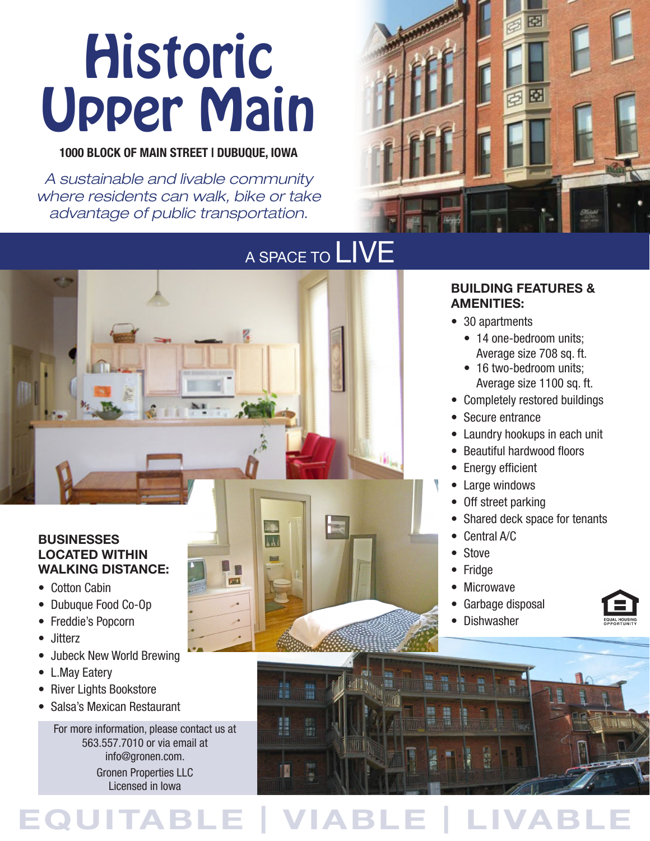# **Historic** Upper Main

#### 1000 BLOCK OF MAIN STREET | DUBUQUE, IOWA

*A sustainable and livable community where residents can walk, bike or take advantage of public transportation.*



### A SPACE TO LIVE **BUSINESSES II LOCATED WITHIN WALKING DISTANCE:**  $\frac{1}{2}$ • Cotton Cabin • Dubuque Food Co-Op • Freddie's Popcorn

**EQUITABLE | VIABLE | LIVABLE**

#### **BUILDING FEATURES & AMENITIES:**

- 30 apartments
	- 14 one-bedroom units: Average size 708 sq. ft.
	- 16 two-bedroom units; Average size 1100 sq. ft.
- Completely restored buildings
- Secure entrance
- Laundry hookups in each unit
- Beautiful hardwood floors
- Energy efficient
- Large windows
- Off street parking
- Shared deck space for tenants
- Central A/C
- Stove
- Fridge
- Microwave
- Garbage disposal
- Dishwasher



- Jitterz
- Jubeck New World Brewing
- L.May Eatery
- River Lights Bookstore
- Salsa's Mexican Restaurant

For more information, please contact us at 563.557.7010 or via email at info@gronen.com. Gronen Properties LLC Licensed in Iowa